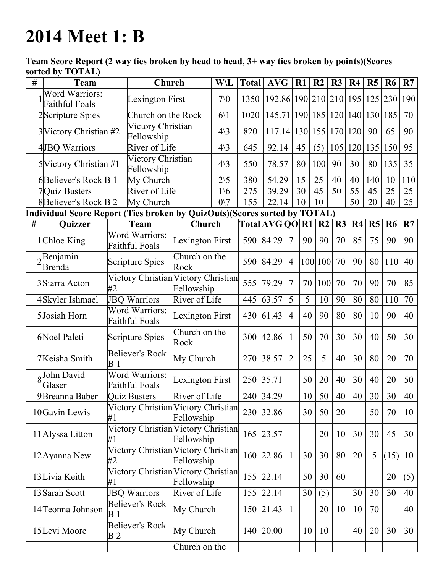## 2014 Meet 1: B

Team Score Report (2 way ties broken by head to head, 3+ way ties broken by points)(Scores sorted by TOTAL)

| # | <b>Team</b>                             |                                                | Church                                                                    |                       | <b>W\L</b>      | <b>Total</b> | <b>AVG</b>                 |                 | R1             | R <sub>2</sub> | R3          | R <sub>4</sub> | R5  | R <sub>6</sub> | R7              |
|---|-----------------------------------------|------------------------------------------------|---------------------------------------------------------------------------|-----------------------|-----------------|--------------|----------------------------|-----------------|----------------|----------------|-------------|----------------|-----|----------------|-----------------|
|   | Word Warriors:<br><b>Faithful Foals</b> |                                                | Lexington First                                                           |                       | 70 <sub>0</sub> | 1350         | 192.86 190 210 210 195 125 |                 |                |                |             |                |     | 230            | 190             |
|   | 2Scripture Spies                        |                                                | Church on the Rock                                                        |                       | $6\backslash1$  | 1020         | 145.71                     |                 |                |                | 190 185 120 | 140            | 130 | 185            | 70              |
|   | 3 Victory Christian #2                  |                                                | Victory Christian<br>Fellowship                                           |                       | $4\backslash3$  | 820          | 117.14 130 155 170 120     |                 |                |                |             |                | 90  | 65             | 90              |
|   | 4JBQ Warriors                           |                                                | River of Life                                                             |                       | $4\backslash3$  | 645          | 92.14                      |                 | 45             | (5)            | 105         | 120            | 135 | 150            | 95              |
|   | 5 Victory Christian #1                  |                                                | Victory Christian<br>Fellowship                                           |                       | $4\backslash3$  | 550          | 78.57                      |                 | 80             | 100            | 90          | 30             | 80  | 135            | 35              |
|   | 6Believer's Rock B 1                    |                                                | My Church                                                                 |                       | $2\backslash 5$ | 380          | 54.29                      |                 | 15             | 25             | 40          | 40             | 140 | 10             | 110             |
|   | 7Quiz Busters                           |                                                | River of Life                                                             |                       | $1\backslash 6$ | 275          | 39.29                      |                 | 30             | 45             | 50          | 55             | 45  | 25             | 25              |
|   | 8Believer's Rock B 2                    |                                                | My Church                                                                 |                       | $0\vee 7$       | 155          | 22.14                      |                 | 10             | 10             |             | 50             | 20  | 40             | 25              |
|   |                                         |                                                | Individual Score Report (Ties broken by QuizOuts)(Scores sorted by TOTAL) |                       |                 |              |                            |                 |                |                |             |                |     |                |                 |
| # | Quizzer                                 |                                                | Team                                                                      | Church                |                 |              | Total AVG QO R1            |                 |                | R2             | R3          | R <sub>4</sub> | R5  | <b>R6</b>      | R7              |
|   | 1Chloe King                             | <b>Word Warriors:</b><br><b>Faithful Foals</b> |                                                                           | Lexington First       |                 |              | 590 84.29                  | $7\phantom{.0}$ | 90             | 90             | 70          | 85             | 75  | 90             | 90              |
|   | Benjamin<br><b>Brenda</b>               | <b>Scripture Spies</b>                         |                                                                           | Church on the<br>Rock |                 |              | 590 84.29                  | $\overline{4}$  |                | 100 100        | 70          | 90             | 80  | 110            | 40              |
|   | 3Siarra Acton                           | Victory Christian Victory Christian<br>#2      |                                                                           | Fellowship            |                 | 555          | 79.29                      | $\overline{7}$  | 70             | 100            | 70          | 70             | 90  | 70             | 85              |
|   | 4Skyler Ishmael                         | <b>JBQ Warriors</b>                            |                                                                           | River of Life         |                 | 445          | 63.57                      | 5               | $\overline{5}$ | 10             | 90          | 80             | 80  | 110            | $\overline{70}$ |
|   | 5Josiah Horn                            | <b>Word Warriors:</b><br>Faithful Foals        |                                                                           | Lexington First       |                 | 430          | 61.43                      | $\overline{4}$  | 40             | 90             | 80          | 80             | 10  | 90             | 40              |
|   | 6Noel Paleti                            | <b>Scripture Spies</b>                         |                                                                           | Church on the<br>Rock |                 |              | 300 42.86                  | $\mathbf{1}$    | 50             | 70             | 30          | 30             | 40  | 50             | 30              |
|   | 7Keisha Smith                           | <b>Believer's Rock</b><br>B <sub>1</sub>       |                                                                           | My Church             |                 | 270          | 38.57                      | $\overline{2}$  | 25             | 5              | 40          | 30             | 80  | 20             | 70              |
|   | John David<br>Glaser                    | <b>Word Warriors:</b><br><b>Faithful Foals</b> |                                                                           | Lexington First       |                 | 250          | 35.71                      |                 | 50             | 20             | 40          | 30             | 40  | 20             | 50              |
|   | 9Breanna Baber                          | <b>Quiz Busters</b>                            |                                                                           | River of Life         |                 |              | 240 34.29                  |                 | 10             | 50             | 40          | 40             | 30  | 30             | 40              |
|   | 10 Gavin Lewis                          | Victory Christian Victory Christian<br>#1      |                                                                           | Fellowship            |                 |              | 230 32.86                  |                 | 30             | 50             | 20          |                | 50  | 70             | 10              |
|   | 11 Alyssa Litton                        | Victory Christian Victory Christian<br>#1      |                                                                           | Fellowship            |                 | 165          | 23.57                      |                 |                | 20             | 10          | 30             | 30  | 45             | 30              |
|   | 12 Ayanna New                           | Victory Christian Victory Christian<br>#2      |                                                                           | Fellowship            |                 |              | 160 22.86                  | $\mathbf{1}$    | 30             | 30             | 80          | 20             | 5   | (15)           | 10              |
|   | 13Livia Keith                           | Victory Christian Victory Christian<br>#1      |                                                                           | Fellowship            |                 | 155          | 22.14                      |                 | 50             | 30             | 60          |                |     | 20             | (5)             |
|   | 13 Sarah Scott                          | <b>JBQ Warriors</b>                            |                                                                           | River of Life         |                 |              | 155 22.14                  |                 | 30             | (5)            |             | 30             | 30  | 30             | 40              |
|   | 14 Teonna Johnson                       | <b>Believer's Rock</b><br><b>B</b> 1           |                                                                           | My Church             |                 | 150          | 21.43                      | $\mathbf{1}$    |                | 20             | 10          | 10             | 70  |                | 40              |
|   | 15Levi Moore                            | <b>Believer's Rock</b><br>B 2                  |                                                                           | My Church             |                 |              | 140 20.00                  |                 | 10             | 10             |             | 40             | 20  | 30             | 30              |
|   |                                         |                                                |                                                                           | Church on the         |                 |              |                            |                 |                |                |             |                |     |                |                 |